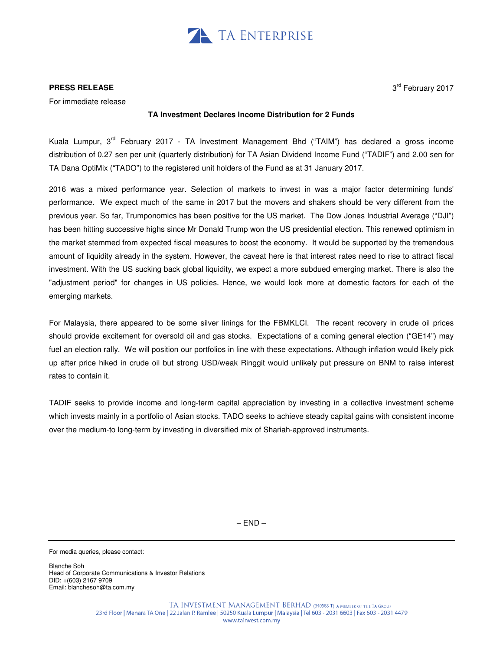

## **PRESS RELEASE**

For immediate release

## **TA Investment Declares Income Distribution for 2 Funds**

Kuala Lumpur, 3<sup>rd</sup> February 2017 - TA Investment Management Bhd ("TAIM") has declared a gross income distribution of 0.27 sen per unit (quarterly distribution) for TA Asian Dividend Income Fund ("TADIF") and 2.00 sen for TA Dana OptiMix ("TADO") to the registered unit holders of the Fund as at 31 January 2017.

2016 was a mixed performance year. Selection of markets to invest in was a major factor determining funds' performance. We expect much of the same in 2017 but the movers and shakers should be very different from the previous year. So far, Trumponomics has been positive for the US market. The Dow Jones Industrial Average ("DJI") has been hitting successive highs since Mr Donald Trump won the US presidential election. This renewed optimism in the market stemmed from expected fiscal measures to boost the economy. It would be supported by the tremendous amount of liquidity already in the system. However, the caveat here is that interest rates need to rise to attract fiscal investment. With the US sucking back global liquidity, we expect a more subdued emerging market. There is also the "adjustment period" for changes in US policies. Hence, we would look more at domestic factors for each of the emerging markets.

For Malaysia, there appeared to be some silver linings for the FBMKLCI. The recent recovery in crude oil prices should provide excitement for oversold oil and gas stocks. Expectations of a coming general election ("GE14") may fuel an election rally. We will position our portfolios in line with these expectations. Although inflation would likely pick up after price hiked in crude oil but strong USD/weak Ringgit would unlikely put pressure on BNM to raise interest rates to contain it.

TADIF seeks to provide income and long-term capital appreciation by investing in a collective investment scheme which invests mainly in a portfolio of Asian stocks. TADO seeks to achieve steady capital gains with consistent income over the medium-to long-term by investing in diversified mix of Shariah-approved instruments.

 $-$  END  $-$ 

For media queries, please contact:

Blanche Soh Head of Corporate Communications & Investor Relations DID: +(603) 2167 9709 Email: blanchesoh@ta.com.my